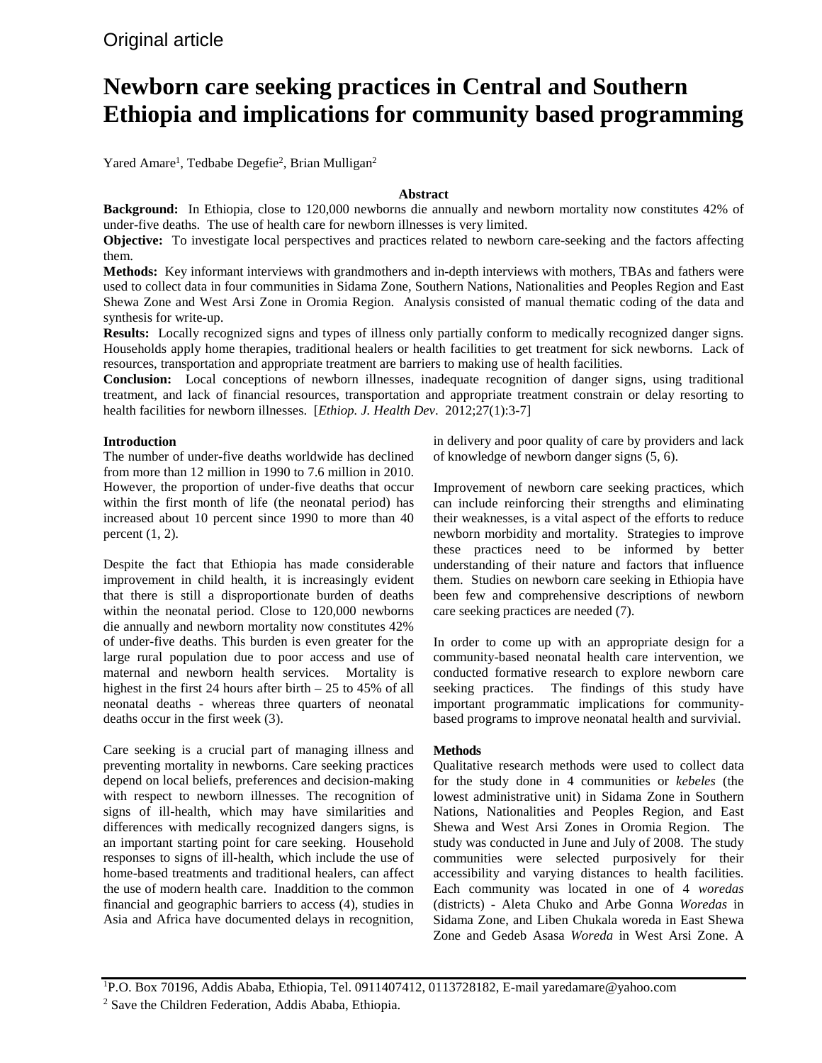# **Newborn care seeking practices in Central and Southern Ethiopia and implications for community based programming**

Yared Amare<sup>1</sup>, Tedbabe Degefie<sup>2</sup>, Brian Mulligan<sup>2</sup>

# **Abstract**

**Background:** In Ethiopia, close to 120,000 newborns die annually and newborn mortality now constitutes 42% of under-five deaths. The use of health care for newborn illnesses is very limited.

**Objective:** To investigate local perspectives and practices related to newborn care-seeking and the factors affecting them.

**Methods:** Key informant interviews with grandmothers and in-depth interviews with mothers, TBAs and fathers were used to collect data in four communities in Sidama Zone, Southern Nations, Nationalities and Peoples Region and East Shewa Zone and West Arsi Zone in Oromia Region. Analysis consisted of manual thematic coding of the data and synthesis for write-up.

**Results:** Locally recognized signs and types of illness only partially conform to medically recognized danger signs. Households apply home therapies, traditional healers or health facilities to get treatment for sick newborns. Lack of resources, transportation and appropriate treatment are barriers to making use of health facilities.

**Conclusion:** Local conceptions of newborn illnesses, inadequate recognition of danger signs, using traditional treatment, and lack of financial resources, transportation and appropriate treatment constrain or delay resorting to health facilities for newborn illnesses. [*Ethiop. J. Health Dev*. 2012;27(1):3-7]

# **Introduction**

The number of under-five deaths worldwide has declined from more than 12 million in 1990 to 7.6 million in 2010. However, the proportion of under-five deaths that occur within the first month of life (the neonatal period) has increased about 10 percent since 1990 to more than 40 percent  $(1, 2)$ .

Despite the fact that Ethiopia has made considerable improvement in child health, it is increasingly evident that there is still a disproportionate burden of deaths within the neonatal period. Close to 120,000 newborns die annually and newborn mortality now constitutes 42% of under-five deaths. This burden is even greater for the large rural population due to poor access and use of maternal and newborn health services. Mortality is highest in the first 24 hours after birth – 25 to 45% of all neonatal deaths - whereas three quarters of neonatal deaths occur in the first week (3).

Care seeking is a crucial part of managing illness and preventing mortality in newborns. Care seeking practices depend on local beliefs, preferences and decision-making with respect to newborn illnesses. The recognition of signs of ill-health, which may have similarities and differences with medically recognized dangers signs, is an important starting point for care seeking. Household responses to signs of ill-health, which include the use of home-based treatments and traditional healers, can affect the use of modern health care. Inaddition to the common financial and geographic barriers to access (4), studies in Asia and Africa have documented delays in recognition,

in delivery and poor quality of care by providers and lack of knowledge of newborn danger signs (5, 6).

Improvement of newborn care seeking practices, which can include reinforcing their strengths and eliminating their weaknesses, is a vital aspect of the efforts to reduce newborn morbidity and mortality. Strategies to improve these practices need to be informed by better understanding of their nature and factors that influence them. Studies on newborn care seeking in Ethiopia have been few and comprehensive descriptions of newborn care seeking practices are needed (7).

In order to come up with an appropriate design for a community-based neonatal health care intervention, we conducted formative research to explore newborn care seeking practices. The findings of this study have important programmatic implications for communitybased programs to improve neonatal health and survivial.

## **Methods**

Qualitative research methods were used to collect data for the study done in 4 communities or *kebeles* (the lowest administrative unit) in Sidama Zone in Southern Nations, Nationalities and Peoples Region, and East Shewa and West Arsi Zones in Oromia Region. The study was conducted in June and July of 2008. The study communities were selected purposively for their accessibility and varying distances to health facilities. Each community was located in one of 4 *woredas* (districts) - Aleta Chuko and Arbe Gonna *Woredas* in Sidama Zone, and Liben Chukala woreda in East Shewa Zone and Gedeb Asasa *Woreda* in West Arsi Zone. A

1 P.O. Box 70196, Addis Ababa, Ethiopia, Tel. 0911407412, 0113728182, E-mail yaredamare@yahoo.com <sup>2</sup> Save the Children Federation, Addis Ababa, Ethiopia.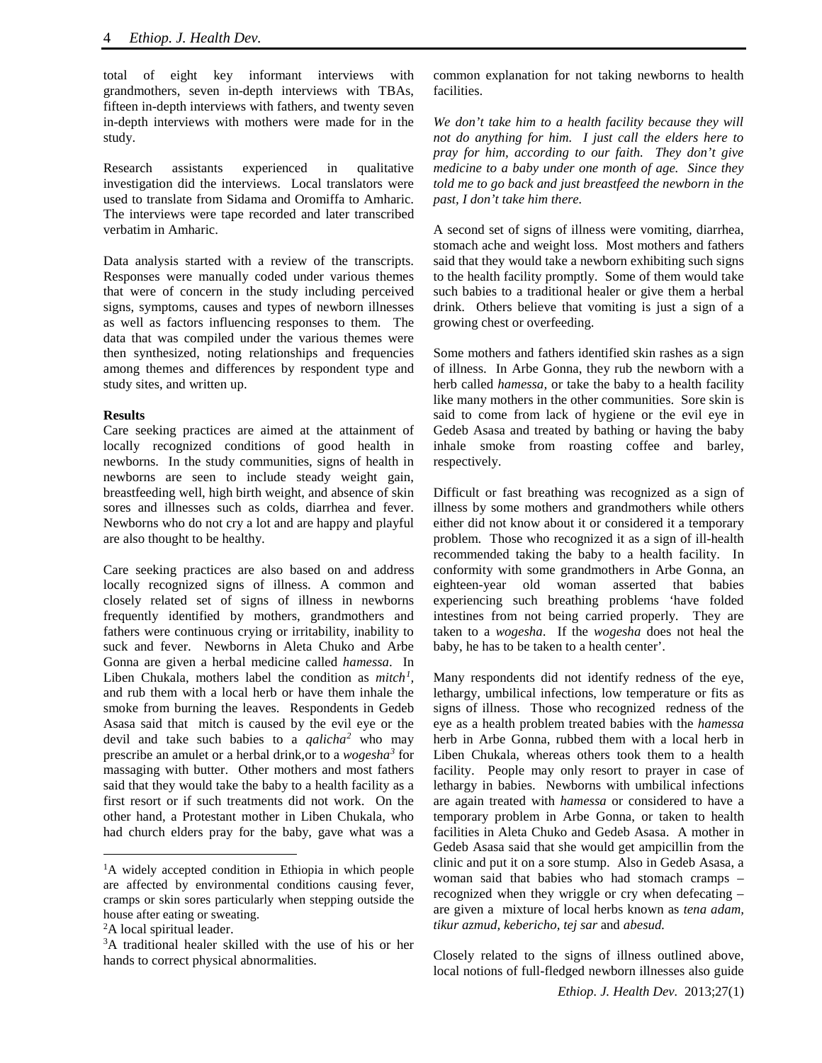total of eight key informant interviews with grandmothers, seven in-depth interviews with TBAs, fifteen in-depth interviews with fathers, and twenty seven in-depth interviews with mothers were made for in the study.

Research assistants experienced in qualitative investigation did the interviews. Local translators were used to translate from Sidama and Oromiffa to Amharic. The interviews were tape recorded and later transcribed verbatim in Amharic.

Data analysis started with a review of the transcripts. Responses were manually coded under various themes that were of concern in the study including perceived signs, symptoms, causes and types of newborn illnesses as well as factors influencing responses to them. The data that was compiled under the various themes were then synthesized, noting relationships and frequencies among themes and differences by respondent type and study sites, and written up.

#### **Results**

Care seeking practices are aimed at the attainment of locally recognized conditions of good health in newborns. In the study communities, signs of health in newborns are seen to include steady weight gain, breastfeeding well, high birth weight, and absence of skin sores and illnesses such as colds, diarrhea and fever. Newborns who do not cry a lot and are happy and playful are also thought to be healthy.

Care seeking practices are also based on and address locally recognized signs of illness. A common and closely related set of signs of illness in newborns frequently identified by mothers, grandmothers and fathers were continuous crying or irritability, inability to suck and fever. Newborns in Aleta Chuko and Arbe Gonna are given a herbal medicine called *hamessa*. In Liben Chukala, mothers label the condition as *mitch<sup>[1](#page-1-0)</sup>*, and rub them with a local herb or have them inhale the smoke from burning the leaves. Respondents in Gedeb Asasa said that mitch is caused by the evil eye or the devil and take such babies to a *qalicha[2](#page-1-1)* who may prescribe an amulet or a herbal drink,or to a *wogesha[3](#page-1-2)* for massaging with butter. Other mothers and most fathers said that they would take the baby to a health facility as a first resort or if such treatments did not work. On the other hand, a Protestant mother in Liben Chukala, who had church elders pray for the baby, gave what was a

 $\overline{a}$ 

common explanation for not taking newborns to health facilities.

*We don't take him to a health facility because they will not do anything for him. I just call the elders here to pray for him, according to our faith. They don't give medicine to a baby under one month of age. Since they told me to go back and just breastfeed the newborn in the past, I don't take him there.*

A second set of signs of illness were vomiting, diarrhea, stomach ache and weight loss. Most mothers and fathers said that they would take a newborn exhibiting such signs to the health facility promptly. Some of them would take such babies to a traditional healer or give them a herbal drink. Others believe that vomiting is just a sign of a growing chest or overfeeding.

Some mothers and fathers identified skin rashes as a sign of illness. In Arbe Gonna, they rub the newborn with a herb called *hamessa,* or take the baby to a health facility like many mothers in the other communities. Sore skin is said to come from lack of hygiene or the evil eye in Gedeb Asasa and treated by bathing or having the baby inhale smoke from roasting coffee and barley, respectively.

Difficult or fast breathing was recognized as a sign of illness by some mothers and grandmothers while others either did not know about it or considered it a temporary problem. Those who recognized it as a sign of ill-health recommended taking the baby to a health facility. In conformity with some grandmothers in Arbe Gonna, an eighteen-year old woman asserted that babies experiencing such breathing problems 'have folded intestines from not being carried properly. They are taken to a *wogesha*. If the *wogesha* does not heal the baby, he has to be taken to a health center'.

Many respondents did not identify redness of the eye, lethargy, umbilical infections, low temperature or fits as signs of illness. Those who recognized redness of the eye as a health problem treated babies with the *hamessa*  herb in Arbe Gonna, rubbed them with a local herb in Liben Chukala, whereas others took them to a health facility. People may only resort to prayer in case of lethargy in babies. Newborns with umbilical infections are again treated with *hamessa* or considered to have a temporary problem in Arbe Gonna, or taken to health facilities in Aleta Chuko and Gedeb Asasa. A mother in Gedeb Asasa said that she would get ampicillin from the clinic and put it on a sore stump. Also in Gedeb Asasa, a woman said that babies who had stomach cramps – recognized when they wriggle or cry when defecating – are given a mixture of local herbs known as *tena adam, tikur azmud, kebericho, tej sar* and *abesud.*

Closely related to the signs of illness outlined above, local notions of full-fledged newborn illnesses also guide

<span id="page-1-0"></span><sup>&</sup>lt;sup>1</sup>A widely accepted condition in Ethiopia in which people are affected by environmental conditions causing fever, cramps or skin sores particularly when stepping outside the house after eating or sweating.

<span id="page-1-1"></span><sup>&</sup>lt;sup>2</sup>A local spiritual leader.

<span id="page-1-2"></span><sup>3</sup> A traditional healer skilled with the use of his or her hands to correct physical abnormalities.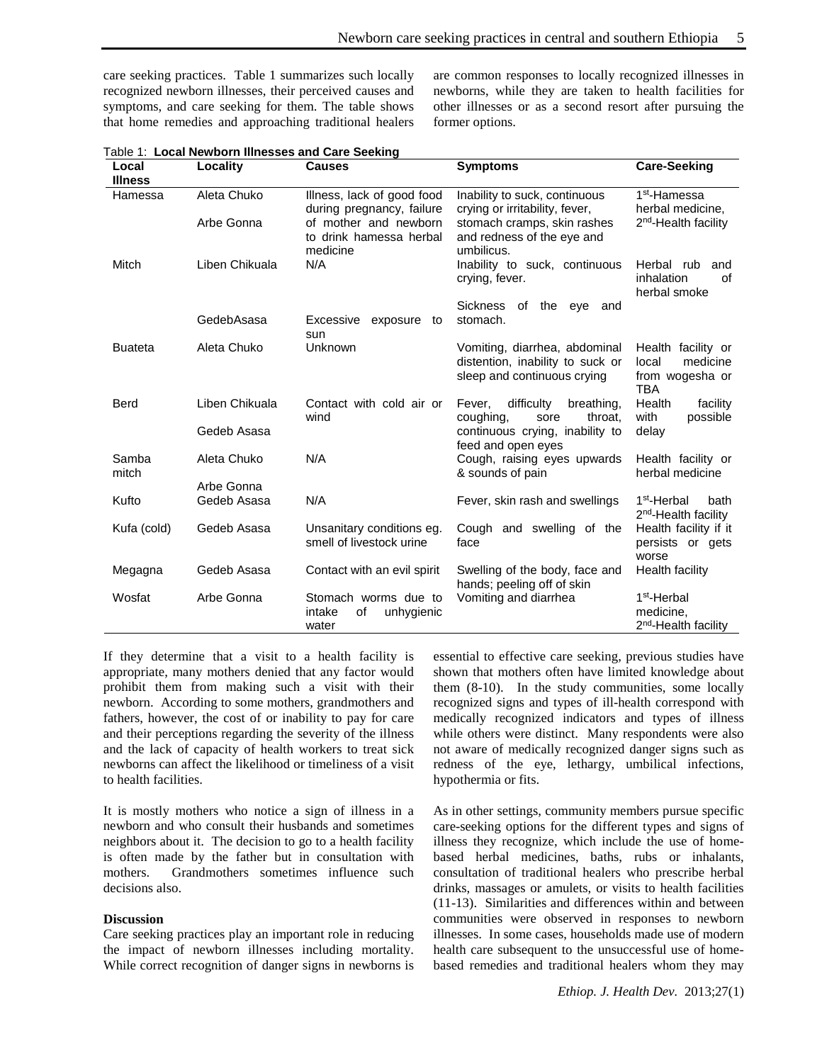care seeking practices. Table 1 summarizes such locally recognized newborn illnesses, their perceived causes and symptoms, and care seeking for them. The table shows that home remedies and approaching traditional healers are common responses to locally recognized illnesses in newborns, while they are taken to health facilities for other illnesses or as a second resort after pursuing the former options.

| Local<br><b>Illness</b> | Locality       | <b>Causes</b>                                                | <b>Symptoms</b>                                                         | <b>Care-Seeking</b>                                                 |
|-------------------------|----------------|--------------------------------------------------------------|-------------------------------------------------------------------------|---------------------------------------------------------------------|
| Hamessa                 | Aleta Chuko    | Illness, lack of good food<br>during pregnancy, failure      | Inability to suck, continuous<br>crying or irritability, fever,         | 1 <sup>st</sup> -Hamessa<br>herbal medicine,                        |
|                         | Arbe Gonna     | of mother and newborn<br>to drink hamessa herbal<br>medicine | stomach cramps, skin rashes<br>and redness of the eye and<br>umbilicus. | 2 <sup>nd</sup> -Health facility                                    |
| Mitch                   | Liben Chikuala | N/A                                                          | Inability to suck, continuous<br>crying, fever.                         | Herbal rub<br>and<br>inhalation<br>οf<br>herbal smoke               |
|                         |                |                                                              | <b>Sickness</b><br>of<br>the<br>eve<br>and                              |                                                                     |
|                         | GedebAsasa     | Excessive<br>exposure<br>to<br>sun                           | stomach.                                                                |                                                                     |
| <b>Buateta</b>          | Aleta Chuko    | Unknown                                                      | Vomiting, diarrhea, abdominal                                           | Health facility or                                                  |
|                         |                |                                                              | distention, inability to suck or<br>sleep and continuous crying         | local<br>medicine<br>from wogesha or                                |
|                         |                |                                                              |                                                                         | <b>TBA</b>                                                          |
| Berd                    | Liben Chikuala | Contact with cold air or<br>wind                             | difficulty<br>breathing,<br>Fever,<br>coughing,<br>throat.<br>sore      | Health<br>facility<br>with<br>possible                              |
|                         | Gedeb Asasa    |                                                              | continuous crying, inability to<br>feed and open eyes                   | delay                                                               |
| Samba<br>mitch          | Aleta Chuko    | N/A                                                          | Cough, raising eyes upwards<br>& sounds of pain                         | Health facility or<br>herbal medicine                               |
|                         | Arbe Gonna     |                                                              |                                                                         |                                                                     |
| Kufto                   | Gedeb Asasa    | N/A                                                          | Fever, skin rash and swellings                                          | 1 <sup>st</sup> -Herbal<br>bath<br>2 <sup>nd</sup> -Health facility |
| Kufa (cold)             | Gedeb Asasa    | Unsanitary conditions eg.<br>smell of livestock urine        | Cough and swelling of the<br>face                                       | Health facility if it<br>persists or gets<br>worse                  |
| Megagna                 | Gedeb Asasa    | Contact with an evil spirit                                  | Swelling of the body, face and<br>hands; peeling off of skin            | Health facility                                                     |
| Wosfat                  | Arbe Gonna     | Stomach worms due to                                         | Vomiting and diarrhea                                                   | 1 <sup>st</sup> -Herbal                                             |
|                         |                | intake<br>οf<br>unhygienic<br>water                          |                                                                         | medicine,<br>2 <sup>nd</sup> -Health facility                       |
|                         |                |                                                              |                                                                         |                                                                     |

Table 1: **Local Newborn Illnesses and Care Seeking**

If they determine that a visit to a health facility is appropriate, many mothers denied that any factor would prohibit them from making such a visit with their newborn. According to some mothers, grandmothers and fathers, however, the cost of or inability to pay for care and their perceptions regarding the severity of the illness and the lack of capacity of health workers to treat sick newborns can affect the likelihood or timeliness of a visit to health facilities.

It is mostly mothers who notice a sign of illness in a newborn and who consult their husbands and sometimes neighbors about it. The decision to go to a health facility is often made by the father but in consultation with mothers. Grandmothers sometimes influence such decisions also.

## **Discussion**

Care seeking practices play an important role in reducing the impact of newborn illnesses including mortality. While correct recognition of danger signs in newborns is essential to effective care seeking, previous studies have shown that mothers often have limited knowledge about them (8-10). In the study communities, some locally recognized signs and types of ill-health correspond with medically recognized indicators and types of illness while others were distinct. Many respondents were also not aware of medically recognized danger signs such as redness of the eye, lethargy, umbilical infections, hypothermia or fits.

As in other settings, community members pursue specific care-seeking options for the different types and signs of illness they recognize, which include the use of homebased herbal medicines, baths, rubs or inhalants, consultation of traditional healers who prescribe herbal drinks, massages or amulets, or visits to health facilities (11-13). Similarities and differences within and between communities were observed in responses to newborn illnesses. In some cases, households made use of modern health care subsequent to the unsuccessful use of homebased remedies and traditional healers whom they may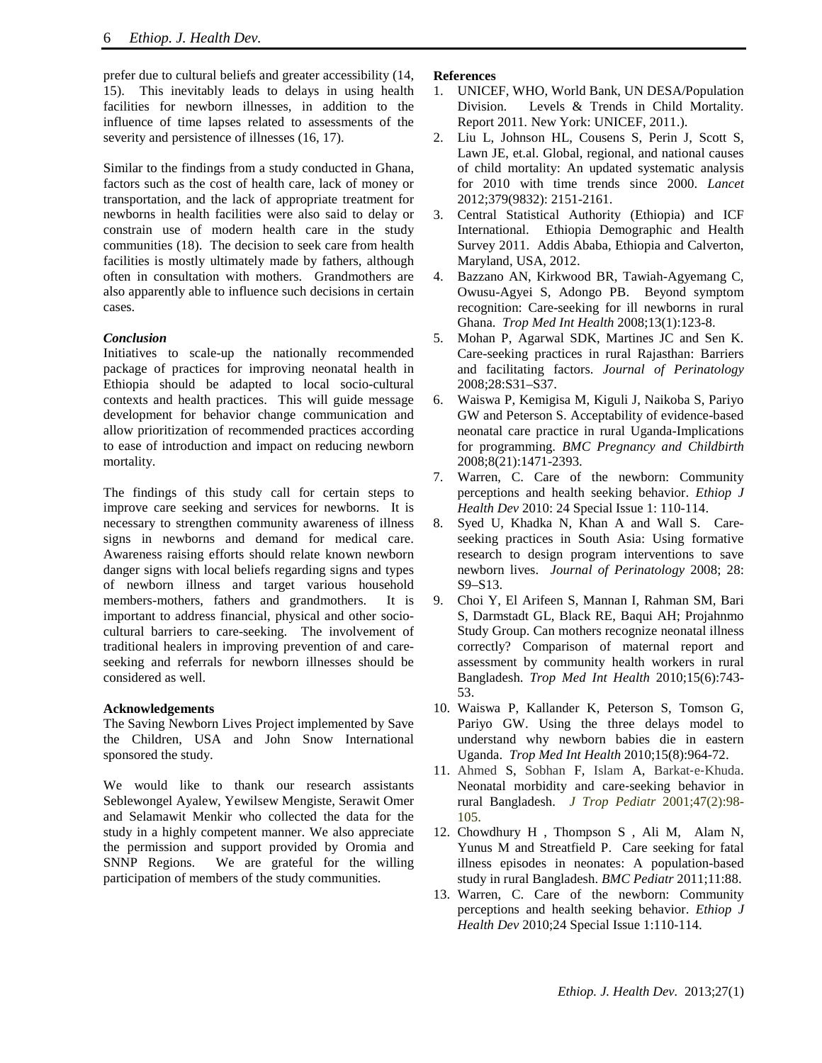prefer due to cultural beliefs and greater accessibility (14, 15). This inevitably leads to delays in using health facilities for newborn illnesses, in addition to the influence of time lapses related to assessments of the severity and persistence of illnesses  $(16, 17)$ .

Similar to the findings from a study conducted in Ghana, factors such as the cost of health care, lack of money or transportation, and the lack of appropriate treatment for newborns in health facilities were also said to delay or constrain use of modern health care in the study communities (18). The decision to seek care from health facilities is mostly ultimately made by fathers, although often in consultation with mothers. Grandmothers are also apparently able to influence such decisions in certain cases.

## *Conclusion*

Initiatives to scale-up the nationally recommended package of practices for improving neonatal health in Ethiopia should be adapted to local socio-cultural contexts and health practices. This will guide message development for behavior change communication and allow prioritization of recommended practices according to ease of introduction and impact on reducing newborn mortality.

The findings of this study call for certain steps to improve care seeking and services for newborns. It is necessary to strengthen community awareness of illness signs in newborns and demand for medical care. Awareness raising efforts should relate known newborn danger signs with local beliefs regarding signs and types of newborn illness and target various household members-mothers, fathers and grandmothers. It is important to address financial, physical and other sociocultural barriers to care-seeking. The involvement of traditional healers in improving prevention of and careseeking and referrals for newborn illnesses should be considered as well.

## **Acknowledgements**

The Saving Newborn Lives Project implemented by Save the Children, USA and John Snow International sponsored the study.

We would like to thank our research assistants Seblewongel Ayalew, Yewilsew Mengiste, Serawit Omer and Selamawit Menkir who collected the data for the study in a highly competent manner. We also appreciate the permission and support provided by Oromia and SNNP Regions. We are grateful for the willing participation of members of the study communities.

## **References**

- 1. UNICEF, WHO, World Bank, UN DESA/Population Division. Levels & Trends in Child Mortality. Report 2011*.* New York: UNICEF, 2011.).
- 2. Liu L, Johnson HL, Cousens S, Perin J, Scott S, Lawn JE, et.al. Global, regional, and national causes of child mortality: An updated systematic analysis for 2010 with time trends since 2000. *Lancet*  2012;379(9832): 2151-2161.
- 3. Central Statistical Authority (Ethiopia) and ICF International. Ethiopia Demographic and Health Survey 2011. Addis Ababa, Ethiopia and Calverton, Maryland, USA, 2012.
- 4. [Bazzano AN,](http://www.ncbi.nlm.nih.gov/pubmed?term=%22Bazzano%20AN%22%5BAuthor%5D) [Kirkwood BR,](http://www.ncbi.nlm.nih.gov/pubmed?term=%22Kirkwood%20BR%22%5BAuthor%5D) [Tawiah-Agyemang C,](http://www.ncbi.nlm.nih.gov/pubmed?term=%22Tawiah-Agyemang%20C%22%5BAuthor%5D) [Owusu-Agyei S,](http://www.ncbi.nlm.nih.gov/pubmed?term=%22Owusu-Agyei%20S%22%5BAuthor%5D) [Adongo PB.](http://www.ncbi.nlm.nih.gov/pubmed?term=%22Adongo%20PB%22%5BAuthor%5D) Beyond symptom recognition: Care-seeking for ill newborns in rural Ghana. *[Trop Med Int Health](http://www.ncbi.nlm.nih.gov/pubmed/18291010)* 2008;13(1):123-8.
- 5. Mohan P, Agarwal SDK, Martines JC and Sen K. Care-seeking practices in rural Rajasthan: Barriers and facilitating factors. *Journal of Perinatology* 2008;28:S31–S37.
- 6. Waiswa P, Kemigisa M, Kiguli J, Naikoba S, Pariyo GW and Peterson S. Acceptability of evidence-based neonatal care practice in rural Uganda-Implications for programming. *BMC Pregnancy and Childbirth*  2008;8(21):1471-2393.
- 7. Warren, C. Care of the newborn: Community perceptions and health seeking behavior. *Ethiop J Health Dev* 2010: 24 Special Issue 1: 110-114.
- 8. Syed U, Khadka N, Khan A and Wall S. Careseeking practices in South Asia: Using formative research to design program interventions to save newborn lives. *Journal of Perinatology* 2008; 28: S9–S13.
- 9. [Choi Y,](http://www.ncbi.nlm.nih.gov/pubmed?term=%22Choi%20Y%22%5BAuthor%5D) [El Arifeen S,](http://www.ncbi.nlm.nih.gov/pubmed?term=%22El%20Arifeen%20S%22%5BAuthor%5D) [Mannan I,](http://www.ncbi.nlm.nih.gov/pubmed?term=%22Mannan%20I%22%5BAuthor%5D) [Rahman SM,](http://www.ncbi.nlm.nih.gov/pubmed?term=%22Rahman%20SM%22%5BAuthor%5D) [Bari](http://www.ncbi.nlm.nih.gov/pubmed?term=%22Bari%20S%22%5BAuthor%5D)  [S,](http://www.ncbi.nlm.nih.gov/pubmed?term=%22Bari%20S%22%5BAuthor%5D) [Darmstadt](http://www.ncbi.nlm.nih.gov/pubmed?term=%22Darmstadt%20GL%22%5BAuthor%5D) GL, [Black RE,](http://www.ncbi.nlm.nih.gov/pubmed?term=%22Black%20RE%22%5BAuthor%5D) [Baqui AH;](http://www.ncbi.nlm.nih.gov/pubmed?term=%22Baqui%20AH%22%5BAuthor%5D) [Projahnmo](http://www.ncbi.nlm.nih.gov/pubmed?term=%22Projahnmo%20Study%20Group%22%5BCorporate%20Author%5D)  [Study Group.](http://www.ncbi.nlm.nih.gov/pubmed?term=%22Projahnmo%20Study%20Group%22%5BCorporate%20Author%5D) Can mothers recognize neonatal illness correctly? Comparison of maternal report and assessment by community health workers in rural Bangladesh. *[Trop Med Int Health](http://www.ncbi.nlm.nih.gov/pubmed/20406425)* 2010;15(6):743- 53.
- 10. [Waiswa P,](http://www.ncbi.nlm.nih.gov/pubmed?term=%22Waiswa%20P%22%5BAuthor%5D) [Kallander K,](http://www.ncbi.nlm.nih.gov/pubmed?term=%22Kallander%20K%22%5BAuthor%5D) [Peterson S,](http://www.ncbi.nlm.nih.gov/pubmed?term=%22Peterson%20S%22%5BAuthor%5D) [Tomson G,](http://www.ncbi.nlm.nih.gov/pubmed?term=%22Tomson%20G%22%5BAuthor%5D) [Pariyo GW.](http://www.ncbi.nlm.nih.gov/pubmed?term=%22Pariyo%20GW%22%5BAuthor%5D) Using the three delays model to understand why newborn babies die in eastern Uganda. *[Trop Med Int Health](http://www.ncbi.nlm.nih.gov/pubmed/20636527)* 2010;15(8):964-72.
- 11. [Ahmed](http://tropej.oxfordjournals.org/search?author1=Shameem+Ahmed&sortspec=date&submit=Submit) S, [Sobhan](http://tropej.oxfordjournals.org/search?author1=Farzana+Sobhan&sortspec=date&submit=Submit) F, [Islam](http://tropej.oxfordjournals.org/search?author1=Ariful+Islam&sortspec=date&submit=Submit) A, [Barkat](http://tropej.oxfordjournals.org/search?author1=Barkat%E2%80%90e%E2%80%90Khuda&sortspec=date&submit=Submit)‐e‐Khuda. Neonatal morbidity and care‐seeking behavior in rural Bangladesh. *J Trop Pediatr* 2001;47(2):98- 105.
- 12. Chowdhury H , Thompson S , Ali M, Alam N, Yunus M and Streatfield P. Care seeking for fatal illness episodes in neonates: A population-based study in rural Bangladesh. *BMC Pediatr* 2011;11:88.
- 13. Warren, C. Care of the newborn: Community perceptions and health seeking behavior. *Ethiop J Health Dev* 2010;24 Special Issue 1:110-114.